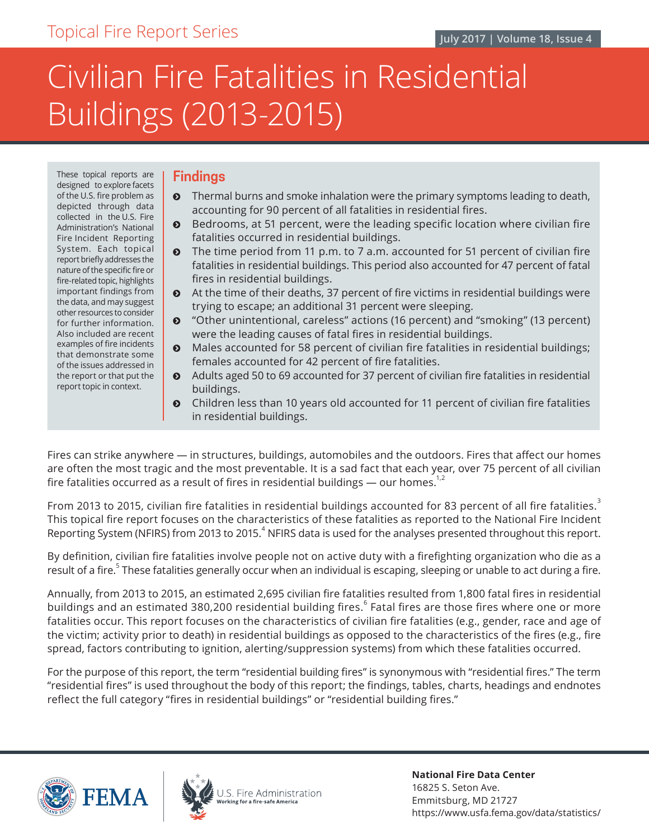# Civilian Fire Fatalities in Residential Buildings (2013-2015)

These topical reports are designed to explore facets of the U.S. fire problem as depicted through data collected in the U.S. Fire Administration's National Fire Incident Reporting System. Each topical report briefly addresses the nature of the specific fire or fire-related topic, highlights important findings from the data, and may suggest other resources to consider for further information. Also included are recent examples of fire incidents that demonstrate some of the issues addressed in the report or that put the report topic in context.

## **Findings**

- **•** Thermal burns and smoke inhalation were the primary symptoms leading to death, accounting for 90 percent of all fatalities in residential fires.
- $\odot$  Bedrooms, at 51 percent, were the leading specific location where civilian fire fatalities occurred in residential buildings.
- $\bullet$  The time period from 11 p.m. to 7 a.m. accounted for 51 percent of civilian fire fatalities in residential buildings. This period also accounted for 47 percent of fatal fires in residential buildings.
- $\bullet$  At the time of their deaths, 37 percent of fire victims in residential buildings were trying to escape; an additional 31 percent were sleeping.
- ĵ "Other unintentional, careless" actions (16 percent) and "smoking" (13 percent) were the leading causes of fatal fires in residential buildings.
- $\odot$  Males accounted for 58 percent of civilian fire fatalities in residential buildings; females accounted for 42 percent of fire fatalities.
- Adults aged 50 to 69 accounted for 37 percent of civilian fire fatalities in residential buildings.
- ĵ Children less than 10 years old accounted for 11 percent of civilian fire fatalities in residential buildings.

Fires can strike anywhere — in structures, buildings, automobiles and the outdoors. Fires that affect our homes are often the most tragic and the most preventable. It is a sad fact that each year, over 75 percent of all civilian fire fatalities occurred as a result of fires in residential buildings — our homes.<sup>1,2</sup>

From 2013 to 2015, civilian fire fatalities in residential buildings accounted for 83 percent of all fire fatalities.<sup>3</sup> This topical fire report focuses on the characteristics of these fatalities as reported to the National Fire Incident Reporting System (NFIRS) from 2013 to 2015. $^4$  NFIRS data is used for the analyses presented throughout this report.

By definition, civilian fire fatalities involve people not on active duty with a firefighting organization who die as a result of a fire.<sup>5</sup> These fatalities generally occur when an individual is escaping, sleeping or unable to act during a fire.

Annually, from 2013 to 2015, an estimated 2,695 civilian fire fatalities resulted from 1,800 fatal fires in residential buildings and an estimated 380,200 residential building fires. $^{\rm 6}$  Fatal fires are those fires where one or more fatalities occur. This report focuses on the characteristics of civilian fire fatalities (e.g., gender, race and age of the victim; activity prior to death) in residential buildings as opposed to the characteristics of the fires (e.g., fire spread, factors contributing to ignition, alerting/suppression systems) from which these fatalities occurred.

For the purpose of this report, the term "residential building fires" is synonymous with "residential fires." The term "residential fires" is used throughout the body of this report; the findings, tables, charts, headings and endnotes reflect the full category "fires in residential buildings" or "residential building fires."





**National Fire Data Center** 16825 S. Seton Ave. Emmitsburg, MD 21727 https://www.usfa.fema.gov/data/statistics/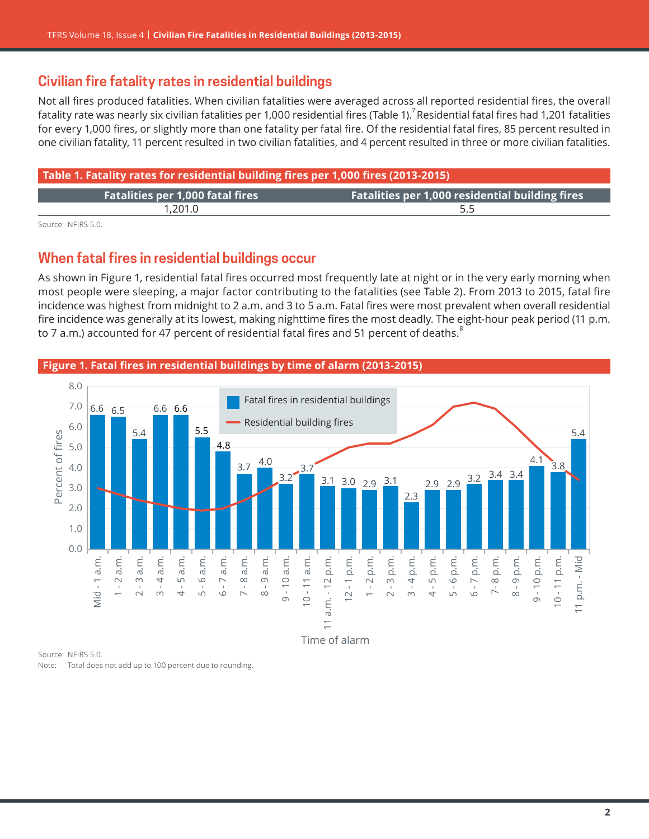## **Civilian fire fatality rates in residential buildings**

Not all fires produced fatalities. When civilian fatalities were averaged across all reported residential fires, the overall fatality rate was nearly six civilian fatalities per 1,000 residential fires (Table 1). $^7$ Residential fatal fires had 1,201 fatalities for every 1,000 fires, or slightly more than one fatality per fatal fire. Of the residential fatal fires, 85 percent resulted in one civilian fatality, 11 percent resulted in two civilian fatalities, and 4 percent resulted in three or more civilian fatalities.

| Table 1. Fatality rates for residential building fires per 1,000 fires (2013-2015) |                                                        |
|------------------------------------------------------------------------------------|--------------------------------------------------------|
| <b>Fatalities per 1,000 fatal fires</b>                                            | <b>Fatalities per 1,000 residential building fires</b> |
| 1,201.0                                                                            |                                                        |

Source: NFIRS 5.0.

## **When fatal fires in residential buildings occur**

As shown in Figure 1, residential fatal fires occurred most frequently late at night or in the very early morning when most people were sleeping, a major factor contributing to the fatalities (see [Table](#page-4-0) 2). From 2013 to 2015, fatal fire incidence was highest from midnight to 2 a.m. and 3 to 5 a.m. Fatal fires were most prevalent when overall residential fire incidence was generally at its lowest, making nighttime fires the most deadly. The eight-hour peak period (11 p.m. to 7 a.m.) accounted for 47 percent of residential fatal fires and 51 percent of deaths.<sup>8</sup>





Source: NFIRS 5.0. Note: Total does not add up to 100 percent due to rounding.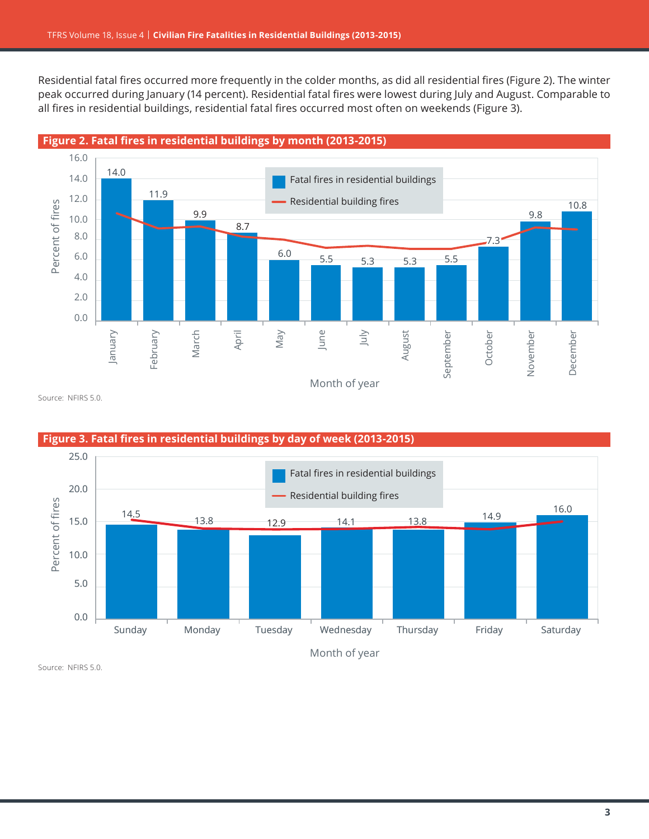Residential fatal fires occurred more frequently in the colder months, as did all residential fires (Figure 2). The winter peak occurred during January (14 percent). Residential fatal fires were lowest during July and August. Comparable to all fires in residential buildings, residential fatal fires occurred most often on weekends (Figure 3).





Source: NFIRS 5.0.



**Figure 3. Fatal fires in residential buildings by day of week (2013-2015)**

Source: NFIRS 5.0.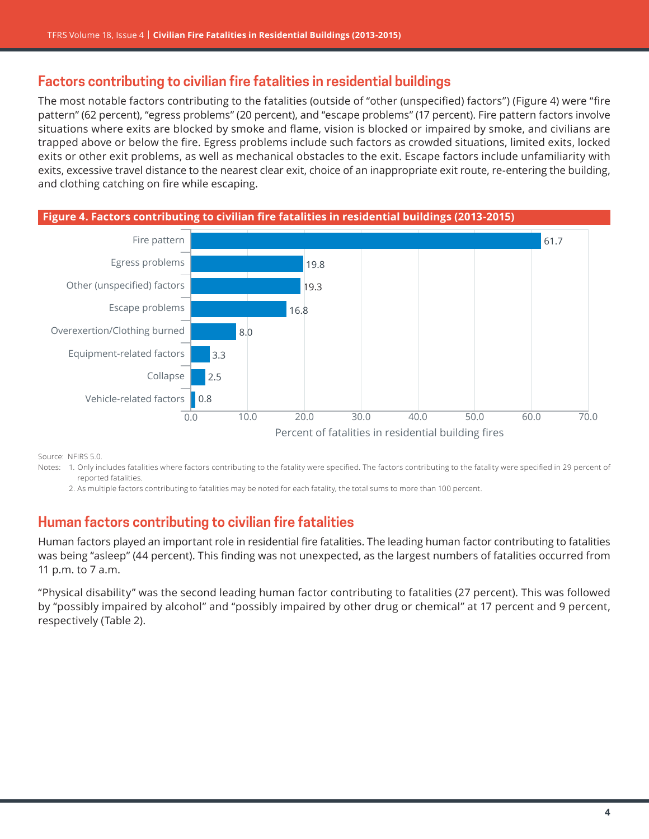# **Factors contributing to civilian fire fatalities in residential buildings**

The most notable factors contributing to the fatalities (outside of "other (unspecified) factors") (Figure 4) were "fire pattern" (62 percent), "egress problems" (20 percent), and "escape problems" (17 percent). Fire pattern factors involve situations where exits are blocked by smoke and flame, vision is blocked or impaired by smoke, and civilians are trapped above or below the fire. Egress problems include such factors as crowded situations, limited exits, locked exits or other exit problems, as well as mechanical obstacles to the exit. Escape factors include unfamiliarity with exits, excessive travel distance to the nearest clear exit, choice of an inappropriate exit route, re-entering the building, and clothing catching on fire while escaping.



Source: NFIRS 5.0.

- Notes: 1. Only includes fatalities where factors contributing to the fatality were specified. The factors contributing to the fatality were specified in 29 percent of reported fatalities.
	- 2. As multiple factors contributing to fatalities may be noted for each fatality, the total sums to more than 100 percent.

## **Human factors contributing to civilian fire fatalities**

Human factors played an important role in residential fire fatalities. The leading human factor contributing to fatalities was being "asleep" (44 percent). This finding was not unexpected, as the largest numbers of fatalities occurred from 11 p.m. to 7 a.m.

"Physical disability" was the second leading human factor contributing to fatalities (27 percent). This was followed by "possibly impaired by alcohol" and "possibly impaired by other drug or chemical" at 17 percent and 9 percent, respectively (Table 2).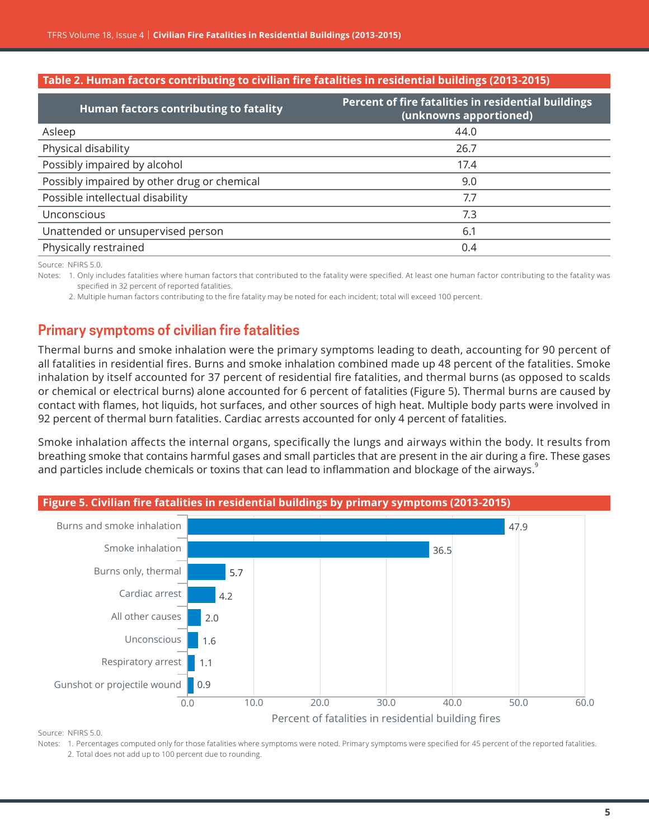#### <span id="page-4-0"></span>**Table 2. Human factors contributing to civilian fire fatalities in residential buildings (2013-2015)**

| Human factors contributing to fatality      | Percent of fire fatalities in residential buildings<br>(unknowns apportioned) |
|---------------------------------------------|-------------------------------------------------------------------------------|
| Asleep                                      | 44.0                                                                          |
| Physical disability                         | 26.7                                                                          |
| Possibly impaired by alcohol                | 17.4                                                                          |
| Possibly impaired by other drug or chemical | 9.0                                                                           |
| Possible intellectual disability            | 7.7                                                                           |
| Unconscious                                 | 7.3                                                                           |
| Unattended or unsupervised person           | 6.1                                                                           |
| Physically restrained                       | 0.4                                                                           |

Source: NFIRS 5.0.

Notes: 1. Only includes fatalities where human factors that contributed to the fatality were specified. At least one human factor contributing to the fatality was specified in 32 percent of reported fatalities.

2. Multiple human factors contributing to the fire fatality may be noted for each incident; total will exceed 100 percent.

# **Primary symptoms of civilian fire fatalities**

Thermal burns and smoke inhalation were the primary symptoms leading to death, accounting for 90 percent of all fatalities in residential fires. Burns and smoke inhalation combined made up 48 percent of the fatalities. Smoke inhalation by itself accounted for 37 percent of residential fire fatalities, and thermal burns (as opposed to scalds or chemical or electrical burns) alone accounted for 6 percent of fatalities (Figure 5). Thermal burns are caused by contact with flames, hot liquids, hot surfaces, and other sources of high heat. Multiple body parts were involved in 92 percent of thermal burn fatalities. Cardiac arrests accounted for only 4 percent of fatalities.

Smoke inhalation affects the internal organs, specifically the lungs and airways within the body. It results from breathing smoke that contains harmful gases and small particles that are present in the air during a fire. These gases and particles include chemicals or toxins that can lead to inflammation and blockage of the airways.<sup>9</sup>



Source: NFIRS 5.0.

Notes: 1. Percentages computed only for those fatalities where symptoms were noted. Primary symptoms were specified for 45 percent of the reported fatalities.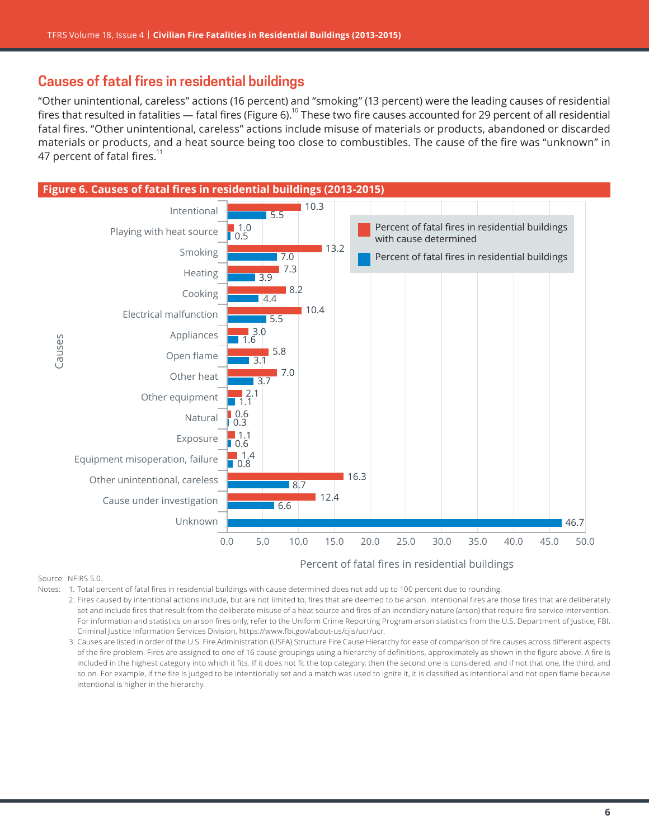# **Causes of fatal fires in residential buildings**

"Other unintentional, careless" actions (16 percent) and "smoking" (13 percent) were the leading causes of residential fires that resulted in fatalities  $-$  fatal fires (Figure 6).<sup>10</sup> These two fire causes accounted for 29 percent of all residential fatal fires. "Other unintentional, careless" actions include misuse of materials or products, abandoned or discarded materials or products, and a heat source being too close to combustibles. The cause of the fire was "unknown" in 47 percent of fatal fires.<sup>11</sup>



Percent of fatal fires in residential buildings

Source: NFIRS 5.0.

- Notes: 1. Total percent of fatal fires in residential buildings with cause determined does not add up to 100 percent due to rounding.
	- 2. Fires caused by intentional actions include, but are not limited to, fires that are deemed to be arson. Intentional fires are those fires that are deliberately set and include fires that result from the deliberate misuse of a heat source and fires of an incendiary nature (arson) that require fire service intervention. For information and statistics on arson fires only, refer to the Uniform Crime Reporting Program arson statistics from the U.S. Department of Justice, FBI, Criminal Justice Information Services Division, [https://www.fbi.gov/about-us/cjis/ucr/ucr.](https://www.fbi.gov/about-us/cjis/ucr/ucr)
	- 3. Causes are listed in order of the U.S. Fire Administration (USFA) Structure Fire Cause Hierarchy for ease of comparison of fire causes across different aspects of the fire problem. Fires are assigned to one of 16 cause groupings using a hierarchy of definitions, approximately as shown in the figure above. A fire is included in the highest category into which it fits. If it does not fit the top category, then the second one is considered, and if not that one, the third, and so on. For example, if the fire is judged to be intentionally set and a match was used to ignite it, it is classified as intentional and not open flame because intentional is higher in the hierarchy.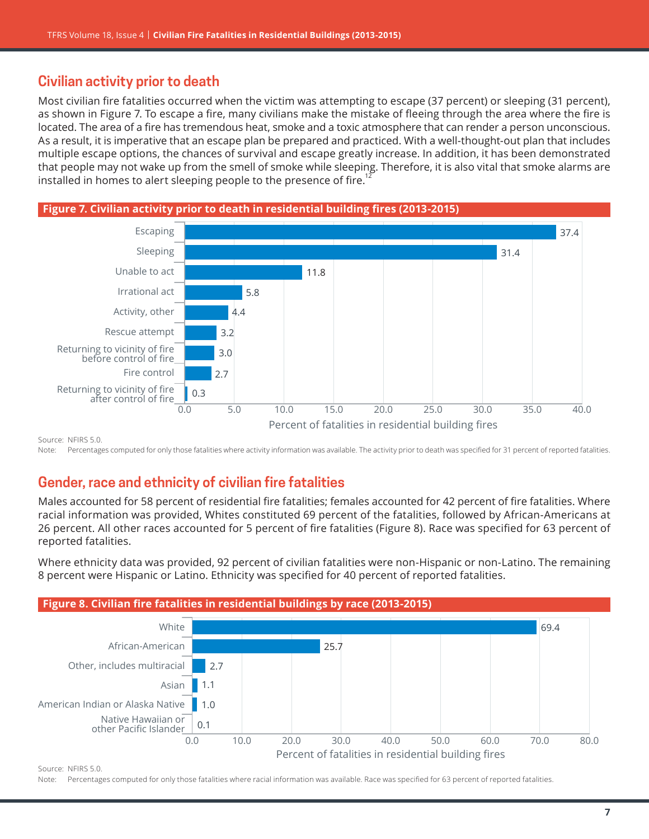# **Civilian activity prior to death**

Most civilian fire fatalities occurred when the victim was attempting to escape (37 percent) or sleeping (31 percent), as shown in Figure 7. To escape a fire, many civilians make the mistake of fleeing through the area where the fire is located. The area of a fire has tremendous heat, smoke and a toxic atmosphere that can render a person unconscious. As a result, it is imperative that an escape plan be prepared and practiced. With a well-thought-out plan that includes multiple escape options, the chances of survival and escape greatly increase. In addition, it has been demonstrated that people may not wake up from the smell of smoke while sleeping. Therefore, it is also vital that smoke alarms are installed in homes to alert sleeping people to the presence of fire.





Source: NFIRS 5.0.

Note: Percentages computed for only those fatalities where activity information was available. The activity prior to death was specified for 31 percent of reported fatalities.

# **Gender, race and ethnicity of civilian fire fatalities**

Males accounted for 58 percent of residential fire fatalities; females accounted for 42 percent of fire fatalities. Where racial information was provided, Whites constituted 69 percent of the fatalities, followed by African-Americans at 26 percent. All other races accounted for 5 percent of fire fatalities (Figure 8). Race was specified for 63 percent of reported fatalities.

Where ethnicity data was provided, 92 percent of civilian fatalities were non-Hispanic or non-Latino. The remaining 8 percent were Hispanic or Latino. Ethnicity was specified for 40 percent of reported fatalities.



Source: NFIRS 5.0.

Note: Percentages computed for only those fatalities where racial information was available. Race was specified for 63 percent of reported fatalities.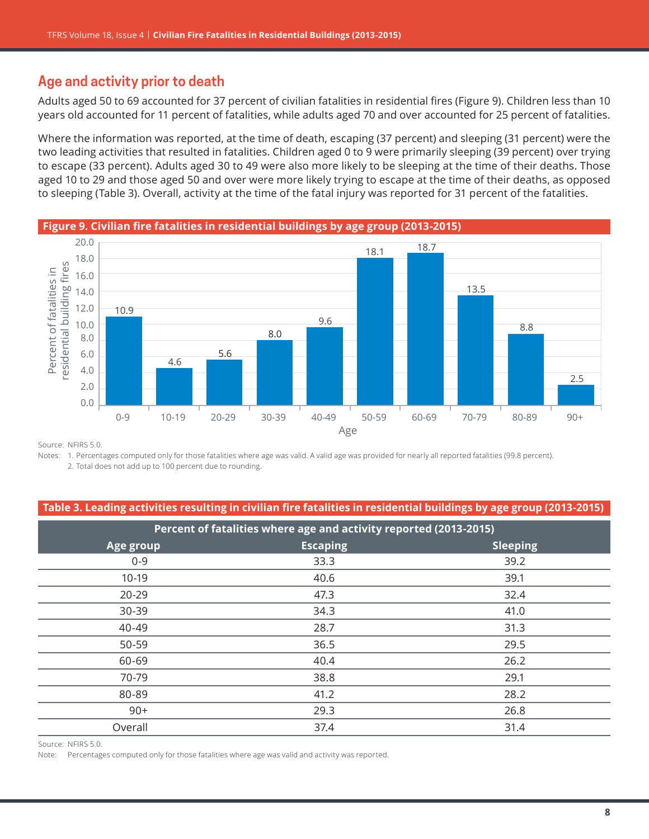## **Age and activity prior to death**

Adults aged 50 to 69 accounted for 37 percent of civilian fatalities in residential fires (Figure 9). Children less than 10 years old accounted for 11 percent of fatalities, while adults aged 70 and over accounted for 25 percent of fatalities.

Where the information was reported, at the time of death, escaping (37 percent) and sleeping (31 percent) were the two leading activities that resulted in fatalities. Children aged 0 to 9 were primarily sleeping (39 percent) over trying to escape (33 percent). Adults aged 30 to 49 were also more likely to be sleeping at the time of their deaths. Those aged 10 to 29 and those aged 50 and over were more likely trying to escape at the time of their deaths, as opposed to sleeping ([Table 3](#page-7-0)). Overall, activity at the time of the fatal injury was reported for 31 percent of the fatalities.



Source: NFIRS 5.0.

Notes: 1. Percentages computed only for those fatalities where age was valid. A valid age was provided for nearly all reported fatalities (99.8 percent).

2. Total does not add up to 100 percent due to rounding.

#### <span id="page-7-0"></span>**Table 3. Leading activities resulting in civilian fire fatalities in residential buildings by age group (2013-2015)**

| Percent of fatalities where age and activity reported (2013-2015) |                 |                 |  |
|-------------------------------------------------------------------|-----------------|-----------------|--|
| Age group                                                         | <b>Escaping</b> | <b>Sleeping</b> |  |
| $0 - 9$                                                           | 33.3            | 39.2            |  |
| $10-19$                                                           | 40.6            | 39.1            |  |
| 20-29                                                             | 47.3            | 32.4            |  |
| 30-39                                                             | 34.3            | 41.0            |  |
| 40-49                                                             | 28.7            | 31.3            |  |
| 50-59                                                             | 36.5            | 29.5            |  |
| 60-69                                                             | 40.4            | 26.2            |  |
| 70-79                                                             | 38.8            | 29.1            |  |
| 80-89                                                             | 41.2            | 28.2            |  |
| $90+$                                                             | 29.3            | 26.8            |  |
| Overall                                                           | 37.4            | 31.4            |  |

Source: NFIRS 5.0.

Note: Percentages computed only for those fatalities where age was valid and activity was reported.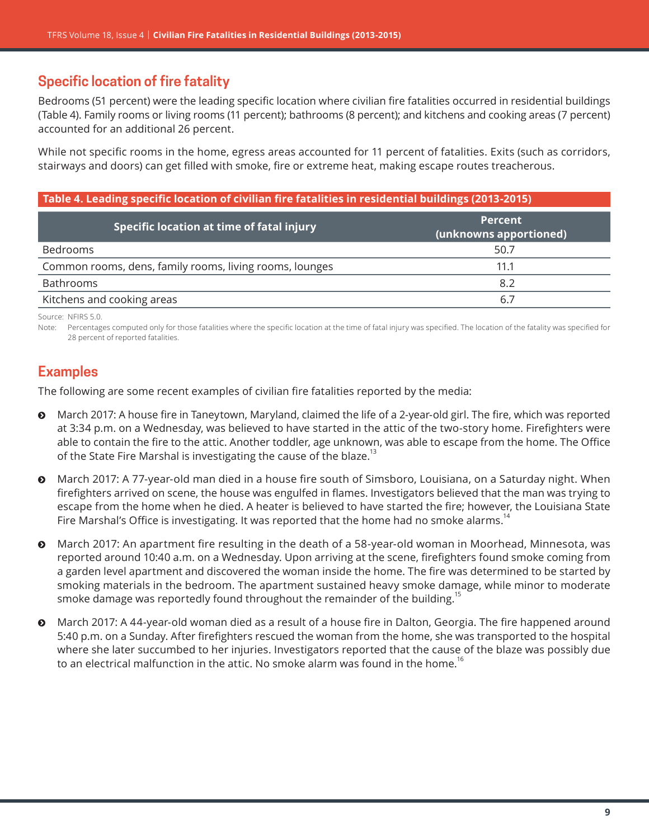# **Specific location of fire fatality**

Bedrooms (51 percent) were the leading specific location where civilian fire fatalities occurred in residential buildings (Table 4). Family rooms or living rooms (11 percent); bathrooms (8 percent); and kitchens and cooking areas (7 percent) accounted for an additional 26 percent.

While not specific rooms in the home, egress areas accounted for 11 percent of fatalities. Exits (such as corridors, stairways and doors) can get filled with smoke, fire or extreme heat, making escape routes treacherous.

#### **Table 4. Leading specific location of civilian fire fatalities in residential buildings (2013-2015)**

| Specific location at time of fatal injury               | <b>Percent</b><br>(unknowns apportioned) |
|---------------------------------------------------------|------------------------------------------|
| <b>Bedrooms</b>                                         | 50.7                                     |
| Common rooms, dens, family rooms, living rooms, lounges | 11.1                                     |
| Bathrooms                                               | 8.2                                      |
| Kitchens and cooking areas                              | 6.7                                      |

Source: NFIRS 5.0.

Note: Percentages computed only for those fatalities where the specific location at the time of fatal injury was specified. The location of the fatality was specified for 28 percent of reported fatalities.

## **Examples**

The following are some recent examples of civilian fire fatalities reported by the media:

- ĵ March 2017: A house fire in Taneytown, Maryland, claimed the life of a 2-year-old girl. The fire, which was reported at 3:34 p.m. on a Wednesday, was believed to have started in the attic of the two-story home. Firefighters were able to contain the fire to the attic. Another toddler, age unknown, was able to escape from the home. The Office of the State Fire Marshal is investigating the cause of the blaze.<sup>13</sup>
- ĵ March 2017: A 77-year-old man died in a house fire south of Simsboro, Louisiana, on a Saturday night. When firefighters arrived on scene, the house was engulfed in flames. Investigators believed that the man was trying to escape from the home when he died. A heater is believed to have started the fire; however, the Louisiana State Fire Marshal's Office is investigating. It was reported that the home had no smoke alarms.<sup>14</sup>
- March 2017: An apartment fire resulting in the death of a 58-year-old woman in Moorhead, Minnesota, was reported around 10:40 a.m. on a Wednesday. Upon arriving at the scene, firefighters found smoke coming from a garden level apartment and discovered the woman inside the home. The fire was determined to be started by smoking materials in the bedroom. The apartment sustained heavy smoke damage, while minor to moderate smoke damage was reportedly found throughout the remainder of the building.<sup>15</sup>
- **•** March 2017: A 44-year-old woman died as a result of a house fire in Dalton, Georgia. The fire happened around 5:40 p.m. on a Sunday. After firefighters rescued the woman from the home, she was transported to the hospital where she later succumbed to her injuries. Investigators reported that the cause of the blaze was possibly due to an electrical malfunction in the attic. No smoke alarm was found in the home.<sup>16</sup>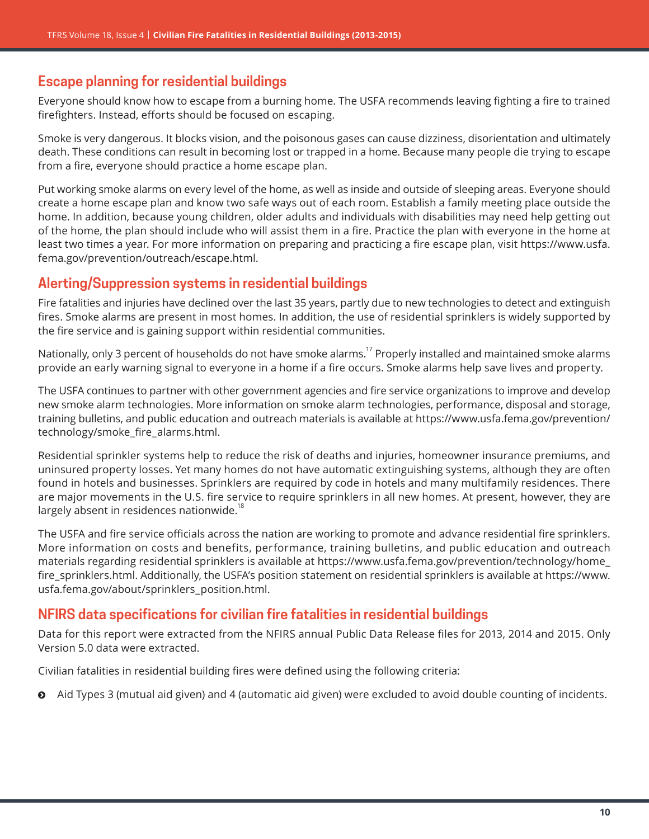# **Escape planning for residential buildings**

Everyone should know how to escape from a burning home. The USFA recommends leaving fighting a fire to trained firefighters. Instead, efforts should be focused on escaping.

Smoke is very dangerous. It blocks vision, and the poisonous gases can cause dizziness, disorientation and ultimately death. These conditions can result in becoming lost or trapped in a home. Because many people die trying to escape from a fire, everyone should practice a home escape plan.

Put working smoke alarms on every level of the home, as well as inside and outside of sleeping areas. Everyone should create a home escape plan and know two safe ways out of each room. Establish a family meeting place outside the home. In addition, because young children, older adults and individuals with disabilities may need help getting out of the home, the plan should include who will assist them in a fire. Practice the plan with everyone in the home at least two times a year. For more information on preparing and practicing a fire escape plan, visit [https://www.usfa.](https://www.usfa.fema.gov/prevention/outreach/escape.html) [fema.gov/prevention/outreach/escape.html](https://www.usfa.fema.gov/prevention/outreach/escape.html).

# **Alerting/Suppression systems in residential buildings**

Fire fatalities and injuries have declined over the last 35 years, partly due to new technologies to detect and extinguish fires. Smoke alarms are present in most homes. In addition, the use of residential sprinklers is widely supported by the fire service and is gaining support within residential communities.

Nationally, only 3 percent of households do not have smoke alarms.<sup>17</sup> Properly installed and maintained smoke alarms provide an early warning signal to everyone in a home if a fire occurs. Smoke alarms help save lives and property.

The USFA continues to partner with other government agencies and fire service organizations to improve and develop new smoke alarm technologies. More information on smoke alarm technologies, performance, disposal and storage, training bulletins, and public education and outreach materials is available at [https://www.usfa.fema.gov/prevention/](https://www.usfa.fema.gov/prevention/technology/smoke_fire_alarms.html) [technology/smoke\\_fire\\_alarms.html](https://www.usfa.fema.gov/prevention/technology/smoke_fire_alarms.html).

Residential sprinkler systems help to reduce the risk of deaths and injuries, homeowner insurance premiums, and uninsured property losses. Yet many homes do not have automatic extinguishing systems, although they are often found in hotels and businesses. Sprinklers are required by code in hotels and many multifamily residences. There are major movements in the U.S. fire service to require sprinklers in all new homes. At present, however, they are largely absent in residences nationwide.<sup>18</sup>

The USFA and fire service officials across the nation are working to promote and advance residential fire sprinklers. More information on costs and benefits, performance, training bulletins, and public education and outreach materials regarding residential sprinklers is available at [https://www.usfa.fema.gov/prevention/technology/home\\_](https://www.usfa.fema.gov/prevention/technology/home_fire_sprinklers.html) [fire\\_sprinklers.html](https://www.usfa.fema.gov/prevention/technology/home_fire_sprinklers.html). Additionally, the USFA's position statement on residential sprinklers is available at [https://www.](https://www.usfa.fema.gov/about/sprinklers_position.html) [usfa.fema.gov/about/sprinklers\\_position.html](https://www.usfa.fema.gov/about/sprinklers_position.html).

# **NFIRS data specifications for civilian fire fatalities in residential buildings**

Data for this report were extracted from the NFIRS annual Public Data Release files for 2013, 2014 and 2015. Only Version 5.0 data were extracted.

Civilian fatalities in residential building fires were defined using the following criteria:

Aid Types 3 (mutual aid given) and 4 (automatic aid given) were excluded to avoid double counting of incidents.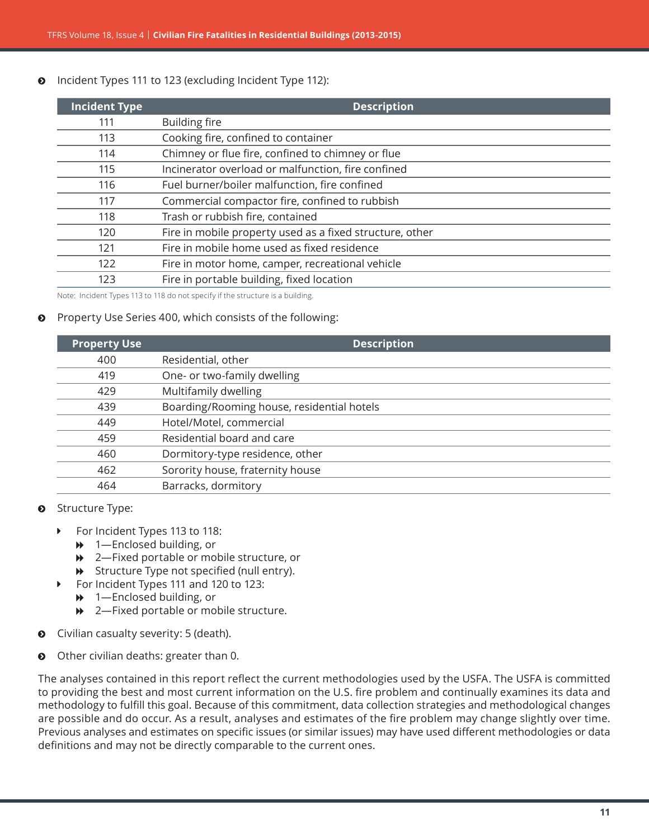**O** Incident Types 111 to 123 (excluding Incident Type 112):

| <b>Incident Type</b> | <b>Description</b>                                       |
|----------------------|----------------------------------------------------------|
| 111                  | <b>Building fire</b>                                     |
| 113                  | Cooking fire, confined to container                      |
| 114                  | Chimney or flue fire, confined to chimney or flue        |
| 115                  | Incinerator overload or malfunction, fire confined       |
| 116                  | Fuel burner/boiler malfunction, fire confined            |
| 117                  | Commercial compactor fire, confined to rubbish           |
| 118                  | Trash or rubbish fire, contained                         |
| 120                  | Fire in mobile property used as a fixed structure, other |
| 121                  | Fire in mobile home used as fixed residence              |
| 122                  | Fire in motor home, camper, recreational vehicle         |
| 123                  | Fire in portable building, fixed location                |

Note: Incident Types 113 to 118 do not specify if the structure is a building.

#### ĵ Property Use Series 400, which consists of the following:

| <b>Description</b>                         |
|--------------------------------------------|
| Residential, other                         |
| One- or two-family dwelling                |
| Multifamily dwelling                       |
| Boarding/Rooming house, residential hotels |
| Hotel/Motel, commercial                    |
| Residential board and care                 |
| Dormitory-type residence, other            |
| Sorority house, fraternity house           |
| Barracks, dormitory                        |
|                                            |

- **8** Structure Type:
	- ▶ For Incident Types 113 to 118:
		- $\rightarrow$  1—Enclosed building, or
		- $\rightarrow$  2—Fixed portable or mobile structure, or
		- $\rightarrow$  Structure Type not specified (null entry).
	- ▶ For Incident Types 111 and 120 to 123:
		- $\rightarrow$  1—Enclosed building, or
		- **→** 2—Fixed portable or mobile structure.
- $\bullet$  Civilian casualty severity: 5 (death).
- **O** Other civilian deaths: greater than 0.

The analyses contained in this report reflect the current methodologies used by the USFA. The USFA is committed to providing the best and most current information on the U.S. fire problem and continually examines its data and methodology to fulfill this goal. Because of this commitment, data collection strategies and methodological changes are possible and do occur. As a result, analyses and estimates of the fire problem may change slightly over time. Previous analyses and estimates on specific issues (or similar issues) may have used different methodologies or data definitions and may not be directly comparable to the current ones.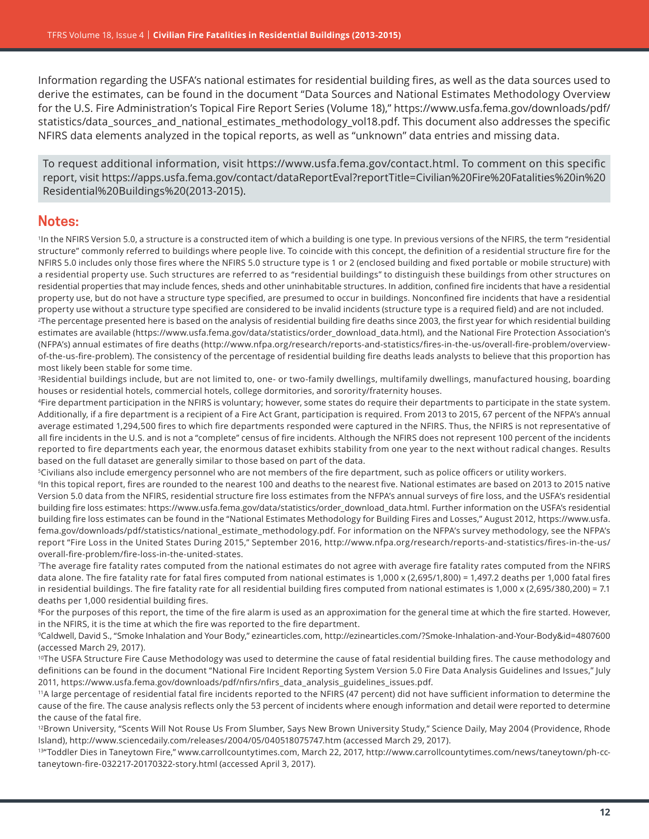Information regarding the USFA's national estimates for residential building fires, as well as the data sources used to derive the estimates, can be found in the document "Data Sources and National Estimates Methodology Overview for the U.S. Fire Administration's Topical Fire Report Series (Volume 18),[" https://www.usfa.fema.gov/downloads/pdf/]( https://www.usfa.fema.gov/downloads/pdf/statistics/data_sources_and_national_estimates_methodology_vol18.pdf.) [statistics/data\\_sources\\_and\\_national\\_estimates\\_methodology\\_vol18.pdf.]( https://www.usfa.fema.gov/downloads/pdf/statistics/data_sources_and_national_estimates_methodology_vol18.pdf.) This document also addresses the specific NFIRS data elements analyzed in the topical reports, as well as "unknown" data entries and missing data.

To request additional information, visit [https://www.usfa.fema.gov/contact.html.](https://www.usfa.fema.gov/contact.html) To comment on this specific report, visit [https://apps.usfa.fema.gov/contact/dataReportE](https://apps.usfa.fema.gov/contact/dataReportEval?reportTitle=Civilian%20Fire%20Fatalities%20in%20Residential%20Buildings%20(2013-2015))val?reportTitle=Civilian%20Fire%20Fatalities%20in%20 Residential%20Buildings%20(2013-2015).

#### **Notes:**

1In the NFIRS Version 5.0, a structure is a constructed item of which a building is one type. In previous versions of the NFIRS, the term "residential structure" commonly referred to buildings where people live. To coincide with this concept, the definition of a residential structure fire for the NFIRS 5.0 includes only those fires where the NFIRS 5.0 structure type is 1 or 2 (enclosed building and fixed portable or mobile structure) with a residential property use. Such structures are referred to as "residential buildings" to distinguish these buildings from other structures on residential properties that may include fences, sheds and other uninhabitable structures. In addition, confined fire incidents that have a residential property use, but do not have a structure type specified, are presumed to occur in buildings. Nonconfined fire incidents that have a residential property use without a structure type specified are considered to be invalid incidents (structure type is a required field) and are not included.

<sup>2</sup>The percentage presented here is based on the analysis of residential building fire deaths since 2003, the first year for which residential building estimates are available ([https://www.usfa.fema.gov/data/statistics/order\\_download\\_data.html](https://www.usfa.fema.gov/data/statistics/order_download_data.html)), and the National Fire Protection Association's (NFPA's) annual estimates of fire deaths ([http://www.nfpa.org/research/reports-and-statistics/fires-in-the-us/overall-fire-problem/overview](http://www.nfpa.org/research/reports-and-statistics/fires-in-the-us/overall-fire-problem/overview-of-the-us-fire-problem)[of-the-us-fire-problem](http://www.nfpa.org/research/reports-and-statistics/fires-in-the-us/overall-fire-problem/overview-of-the-us-fire-problem)). The consistency of the percentage of residential building fire deaths leads analysts to believe that this proportion has most likely been stable for some time.

<sup>3</sup>Residential buildings include, but are not limited to, one- or two-family dwellings, multifamily dwellings, manufactured housing, boarding houses or residential hotels, commercial hotels, college dormitories, and sorority/fraternity houses.

4Fire department participation in the NFIRS is voluntary; however, some states do require their departments to participate in the state system. Additionally, if a fire department is a recipient of a Fire Act Grant, participation is required. From 2013 to 2015, 67 percent of the NFPA's annual average estimated 1,294,500 fires to which fire departments responded were captured in the NFIRS. Thus, the NFIRS is not representative of all fire incidents in the U.S. and is not a "complete" census of fire incidents. Although the NFIRS does not represent 100 percent of the incidents reported to fire departments each year, the enormous dataset exhibits stability from one year to the next without radical changes. Results based on the full dataset are generally similar to those based on part of the data.

5Civilians also include emergency personnel who are not members of the fire department, such as police officers or utility workers.

<sup>6</sup>In this topical report, fires are rounded to the nearest 100 and deaths to the nearest five. National estimates are based on 2013 to 2015 native Version 5.0 data from the NFIRS, residential structure fire loss estimates from the NFPA's annual surveys of fire loss, and the USFA's residential building fire loss estimates: [https://www.usfa.fema.gov/data/statistics/order\\_download\\_data.html](https://www.usfa.fema.gov/data/statistics/order_download_data.html). Further information on the USFA's residential building fire loss estimates can be found in the "National Estimates Methodology for Building Fires and Losses," August 2012, [https://www.usfa.](https://www.usfa.fema.gov/downloads/pdf/statistics/national_estimate_methodology.pdf) [fema.gov/downloads/pdf/statistics/national\\_estimate\\_methodology.pdf](https://www.usfa.fema.gov/downloads/pdf/statistics/national_estimate_methodology.pdf). For information on the NFPA's survey methodology, see the NFPA's report "Fire Loss in the United States During 2015," September 2016, [http://www.nfpa.org/research/reports-and-statistics/fires-in-the-us/](http://www.nfpa.org/research/reports-and-statistics/fires-in-the-us/overall-fire-problem/fire-loss-in-the-united-states) [overall-fire-problem/fire-loss-in-the-united-states](http://www.nfpa.org/research/reports-and-statistics/fires-in-the-us/overall-fire-problem/fire-loss-in-the-united-states).

7The average fire fatality rates computed from the national estimates do not agree with average fire fatality rates computed from the NFIRS data alone. The fire fatality rate for fatal fires computed from national estimates is 1,000 x (2,695/1,800) = 1,497.2 deaths per 1,000 fatal fires in residential buildings. The fire fatality rate for all residential building fires computed from national estimates is 1,000 x (2,695/380,200) = 7.1 deaths per 1,000 residential building fires.

<sup>8</sup>For the purposes of this report, the time of the fire alarm is used as an approximation for the general time at which the fire started. However, in the NFIRS, it is the time at which the fire was reported to the fire department.

<sup>9</sup>Caldwell, David S., "Smoke Inhalation and Your Body," ezinearticles.com,<http://ezinearticles.com/?Smoke-Inhalation-and-Your-Body&id=4807600> (accessed March 29, 2017).

<sup>10</sup>The USFA Structure Fire Cause Methodology was used to determine the cause of fatal residential building fires. The cause methodology and definitions can be found in the document "National Fire Incident Reporting System Version 5.0 Fire Data Analysis Guidelines and Issues," July 2011, [https://www.usfa.fema.gov/downloads/pdf/nfirs/nfirs\\_data\\_analysis\\_guidelines\\_issues.pdf](https://www.usfa.fema.gov/downloads/pdf/nfirs/nfirs_data_analysis_guidelines_issues.pdf).

11A large percentage of residential fatal fire incidents reported to the NFIRS (47 percent) did not have sufficient information to determine the cause of the fire. The cause analysis reflects only the 53 percent of incidents where enough information and detail were reported to determine the cause of the fatal fire.

<sup>12</sup>Brown University, "Scents Will Not Rouse Us From Slumber, Says New Brown University Study," Science Daily, May 2004 (Providence, Rhode Island), <http://www.sciencedaily.com/releases/2004/05/040518075747.htm> (accessed March 29, 2017).

13"Toddler Dies in Taneytown Fire," [www.carrollcountytimes.com,](http://www.carrollcountytimes.com) March 22, 2017, [http://www.carrollcountytimes.com/news/taneytown/ph-cc](http://www.carrollcountytimes.com/news/taneytown/ph-cc-taneytown-fire-032217-20170322-story.html)[taneytown-fire-032217-20170322-story.html](http://www.carrollcountytimes.com/news/taneytown/ph-cc-taneytown-fire-032217-20170322-story.html) (accessed April 3, 2017).